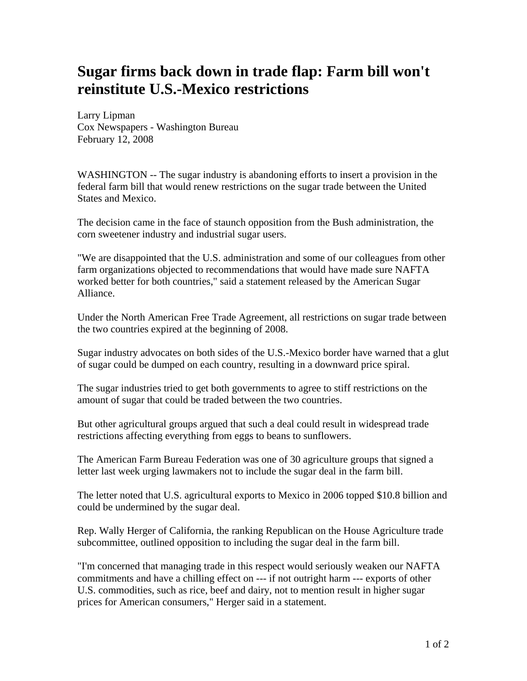## **Sugar firms back down in trade flap: Farm bill won't reinstitute U.S.-Mexico restrictions**

Larry Lipman Cox Newspapers - Washington Bureau February 12, 2008

WASHINGTON -- The sugar industry is abandoning efforts to insert a provision in the federal farm bill that would renew restrictions on the sugar trade between the United States and Mexico.

The decision came in the face of staunch opposition from the Bush administration, the corn sweetener industry and industrial sugar users.

"We are disappointed that the U.S. administration and some of our colleagues from other farm organizations objected to recommendations that would have made sure NAFTA worked better for both countries," said a statement released by the American Sugar Alliance.

Under the North American Free Trade Agreement, all restrictions on sugar trade between the two countries expired at the beginning of 2008.

Sugar industry advocates on both sides of the U.S.-Mexico border have warned that a glut of sugar could be dumped on each country, resulting in a downward price spiral.

The sugar industries tried to get both governments to agree to stiff restrictions on the amount of sugar that could be traded between the two countries.

But other agricultural groups argued that such a deal could result in widespread trade restrictions affecting everything from eggs to beans to sunflowers.

The American Farm Bureau Federation was one of 30 agriculture groups that signed a letter last week urging lawmakers not to include the sugar deal in the farm bill.

The letter noted that U.S. agricultural exports to Mexico in 2006 topped \$10.8 billion and could be undermined by the sugar deal.

Rep. Wally Herger of California, the ranking Republican on the House Agriculture trade subcommittee, outlined opposition to including the sugar deal in the farm bill.

"I'm concerned that managing trade in this respect would seriously weaken our NAFTA commitments and have a chilling effect on --- if not outright harm --- exports of other U.S. commodities, such as rice, beef and dairy, not to mention result in higher sugar prices for American consumers," Herger said in a statement.